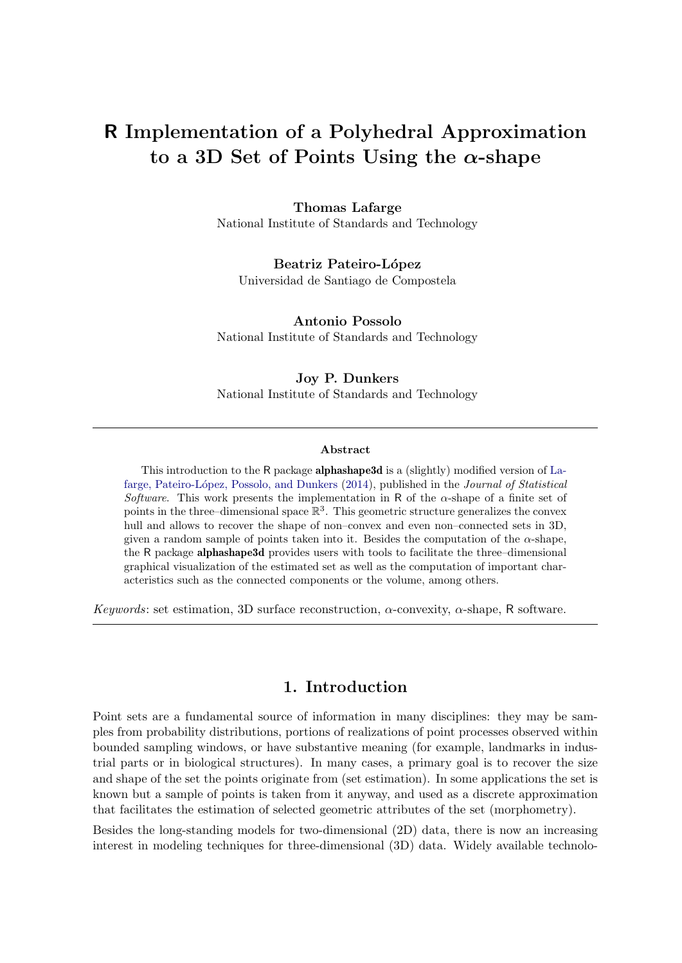# R Implementation of a Polyhedral Approximation to a 3D Set of Points Using the  $\alpha$ -shape

# Thomas Lafarge

National Institute of Standards and Technology

Beatriz Pateiro-López Universidad de Santiago de Compostela

Antonio Possolo National Institute of Standards and Technology

# Joy P. Dunkers

National Institute of Standards and Technology

#### Abstract

This introduction to the R package **alphashape3d** is a (slightly) modified version of [La](#page-15-0)[farge, Pateiro-L´opez, Possolo, and Dunkers](#page-15-0) [\(2014\)](#page-15-0), published in the *Journal of Statistical Software*. This work presents the implementation in R of the  $\alpha$ -shape of a finite set of points in the three–dimensional space  $\mathbb{R}^3$ . This geometric structure generalizes the convex hull and allows to recover the shape of non–convex and even non–connected sets in 3D, given a random sample of points taken into it. Besides the computation of the  $\alpha$ -shape, the R package alphashape3d provides users with tools to facilitate the three–dimensional graphical visualization of the estimated set as well as the computation of important characteristics such as the connected components or the volume, among others.

*Keywords*: set estimation, 3D surface reconstruction, α-convexity, α-shape, R software.

# 1. Introduction

Point sets are a fundamental source of information in many disciplines: they may be samples from probability distributions, portions of realizations of point processes observed within bounded sampling windows, or have substantive meaning (for example, landmarks in industrial parts or in biological structures). In many cases, a primary goal is to recover the size and shape of the set the points originate from (set estimation). In some applications the set is known but a sample of points is taken from it anyway, and used as a discrete approximation that facilitates the estimation of selected geometric attributes of the set (morphometry).

Besides the long-standing models for two-dimensional (2D) data, there is now an increasing interest in modeling techniques for three-dimensional (3D) data. Widely available technolo-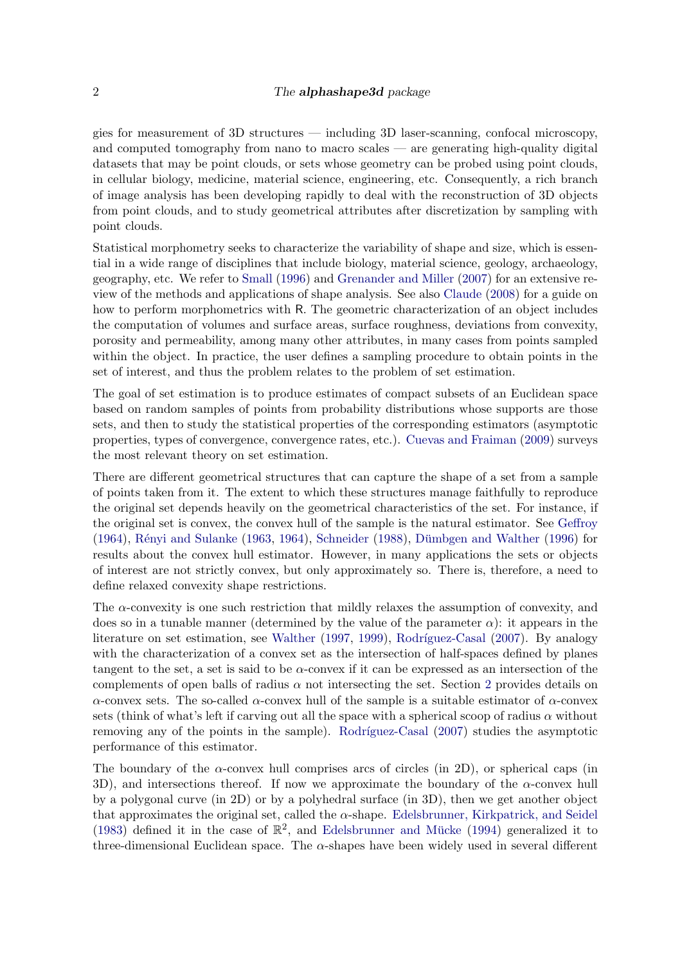### 2 The **alphashape3d** package

gies for measurement of 3D structures — including 3D laser-scanning, confocal microscopy, and computed tomography from nano to macro scales — are generating high-quality digital datasets that may be point clouds, or sets whose geometry can be probed using point clouds, in cellular biology, medicine, material science, engineering, etc. Consequently, a rich branch of image analysis has been developing rapidly to deal with the reconstruction of 3D objects from point clouds, and to study geometrical attributes after discretization by sampling with point clouds.

Statistical morphometry seeks to characterize the variability of shape and size, which is essential in a wide range of disciplines that include biology, material science, geology, archaeology, geography, etc. We refer to [Small](#page-16-0) [\(1996\)](#page-16-0) and [Grenander and Miller](#page-15-1) [\(2007\)](#page-15-1) for an extensive review of the methods and applications of shape analysis. See also [Claude](#page-14-0) [\(2008\)](#page-14-0) for a guide on how to perform morphometrics with R. The geometric characterization of an object includes the computation of volumes and surface areas, surface roughness, deviations from convexity, porosity and permeability, among many other attributes, in many cases from points sampled within the object. In practice, the user defines a sampling procedure to obtain points in the set of interest, and thus the problem relates to the problem of set estimation.

The goal of set estimation is to produce estimates of compact subsets of an Euclidean space based on random samples of points from probability distributions whose supports are those sets, and then to study the statistical properties of the corresponding estimators (asymptotic properties, types of convergence, convergence rates, etc.). [Cuevas and Fraiman](#page-14-1) [\(2009\)](#page-14-1) surveys the most relevant theory on set estimation.

There are different geometrical structures that can capture the shape of a set from a sample of points taken from it. The extent to which these structures manage faithfully to reproduce the original set depends heavily on the geometrical characteristics of the set. For instance, if the original set is convex, the convex hull of the sample is the natural estimator. See [Geffroy](#page-15-2)  $(1964)$ , Rényi and Sulanke  $(1963, 1964)$  $(1963, 1964)$  $(1963, 1964)$ , [Schneider](#page-16-1)  $(1988)$ , Dümbgen and Walther  $(1996)$  for results about the convex hull estimator. However, in many applications the sets or objects of interest are not strictly convex, but only approximately so. There is, therefore, a need to define relaxed convexity shape restrictions.

The  $\alpha$ -convexity is one such restriction that mildly relaxes the assumption of convexity, and does so in a tunable manner (determined by the value of the parameter  $\alpha$ ): it appears in the literature on set estimation, see [Walther](#page-16-2) [\(1997,](#page-16-2) [1999\)](#page-16-3), Rodríguez-Casal [\(2007\)](#page-16-4). By analogy with the characterization of a convex set as the intersection of half-spaces defined by planes tangent to the set, a set is said to be  $\alpha$ -convex if it can be expressed as an intersection of the complements of open balls of radius  $\alpha$  not intersecting the set. Section [2](#page-2-0) provides details on α-convex sets. The so-called α-convex hull of the sample is a suitable estimator of α-convex sets (think of what's left if carving out all the space with a spherical scoop of radius  $\alpha$  without removing any of the points in the sample). Rodríguez-Casal [\(2007\)](#page-16-4) studies the asymptotic performance of this estimator.

The boundary of the  $\alpha$ -convex hull comprises arcs of circles (in 2D), or spherical caps (in 3D), and intersections thereof. If now we approximate the boundary of the  $\alpha$ -convex hull by a polygonal curve (in 2D) or by a polyhedral surface (in 3D), then we get another object that approximates the original set, called the  $\alpha$ -shape. [Edelsbrunner, Kirkpatrick, and Seidel](#page-15-5) [\(1983\)](#page-15-5) defined it in the case of  $\mathbb{R}^2$ , and Edelsbrunner and Mücke [\(1994\)](#page-15-6) generalized it to three-dimensional Euclidean space. The  $\alpha$ -shapes have been widely used in several different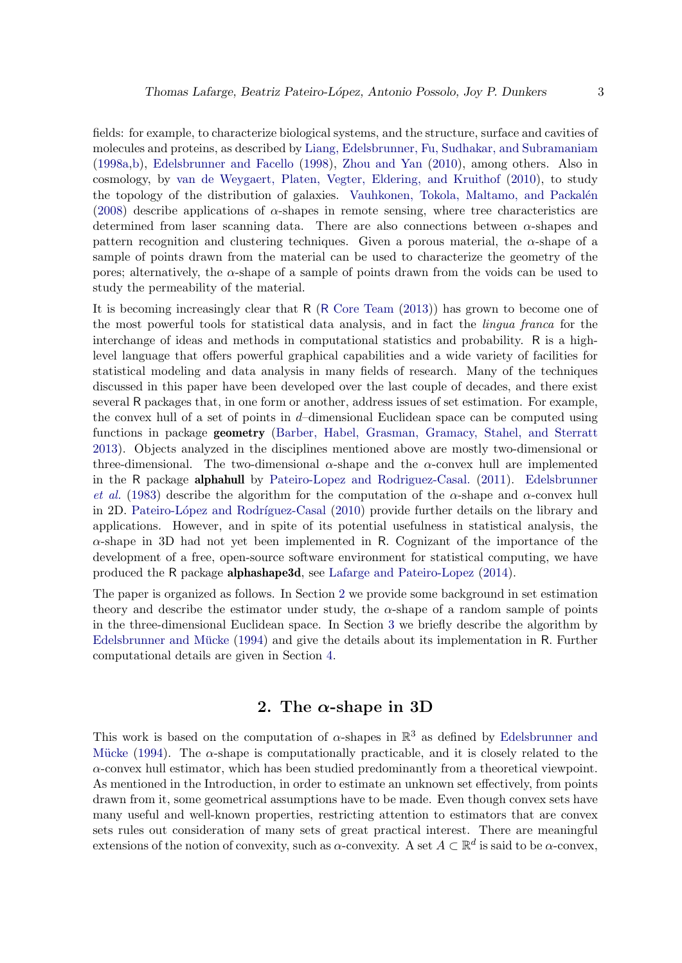fields: for example, to characterize biological systems, and the structure, surface and cavities of molecules and proteins, as described by [Liang, Edelsbrunner, Fu, Sudhakar, and Subramaniam](#page-15-7) [\(1998a,](#page-15-7)[b\)](#page-15-8), [Edelsbrunner and Facello](#page-14-3) [\(1998\)](#page-14-3), [Zhou and Yan](#page-16-5) [\(2010\)](#page-16-5), among others. Also in cosmology, by [van de Weygaert, Platen, Vegter, Eldering, and Kruithof](#page-16-6) [\(2010\)](#page-16-6), to study the topology of the distribution of galaxies. Vauhkonen, Tokola, Maltamo, and Packalén [\(2008\)](#page-16-7) describe applications of  $\alpha$ -shapes in remote sensing, where tree characteristics are determined from laser scanning data. There are also connections between  $\alpha$ -shapes and pattern recognition and clustering techniques. Given a porous material, the  $\alpha$ -shape of a sample of points drawn from the material can be used to characterize the geometry of the pores; alternatively, the α-shape of a sample of points drawn from the voids can be used to study the permeability of the material.

It is becoming increasingly clear that R (R [Core Team](#page-15-9) [\(2013\)](#page-15-9)) has grown to become one of the most powerful tools for statistical data analysis, and in fact the *lingua franca* for the interchange of ideas and methods in computational statistics and probability. R is a highlevel language that offers powerful graphical capabilities and a wide variety of facilities for statistical modeling and data analysis in many fields of research. Many of the techniques discussed in this paper have been developed over the last couple of decades, and there exist several R packages that, in one form or another, address issues of set estimation. For example, the convex hull of a set of points in  $d$ -dimensional Euclidean space can be computed using functions in package geometry [\(Barber, Habel, Grasman, Gramacy, Stahel, and Sterratt](#page-14-4) [2013\)](#page-14-4). Objects analyzed in the disciplines mentioned above are mostly two-dimensional or three-dimensional. The two-dimensional  $\alpha$ -shape and the  $\alpha$ -convex hull are implemented in the R package alphahull by [Pateiro-Lopez and Rodriguez-Casal.](#page-15-10) [\(2011\)](#page-15-10). [Edelsbrunner](#page-15-5) *[et al.](#page-15-5)* [\(1983\)](#page-15-5) describe the algorithm for the computation of the  $\alpha$ -shape and  $\alpha$ -convex hull in 2D. Pateiro-López and Rodríguez-Casal [\(2010\)](#page-15-11) provide further details on the library and applications. However, and in spite of its potential usefulness in statistical analysis, the  $\alpha$ -shape in 3D had not yet been implemented in R. Cognizant of the importance of the development of a free, open-source software environment for statistical computing, we have produced the R package alphashape3d, see [Lafarge and Pateiro-Lopez](#page-15-12) [\(2014\)](#page-15-12).

The paper is organized as follows. In Section [2](#page-2-0) we provide some background in set estimation theory and describe the estimator under study, the  $\alpha$ -shape of a random sample of points in the three-dimensional Euclidean space. In Section [3](#page-4-0) we briefly describe the algorithm by Edelsbrunner and Mücke [\(1994\)](#page-15-6) and give the details about its implementation in R. Further computational details are given in Section [4.](#page-13-0)

# 2. The  $\alpha$ -shape in 3D

<span id="page-2-0"></span>This work is based on the computation of  $\alpha$ -shapes in  $\mathbb{R}^3$  as defined by [Edelsbrunner and](#page-15-6) Mücke [\(1994\)](#page-15-6). The  $\alpha$ -shape is computationally practicable, and it is closely related to the  $\alpha$ -convex hull estimator, which has been studied predominantly from a theoretical viewpoint. As mentioned in the Introduction, in order to estimate an unknown set effectively, from points drawn from it, some geometrical assumptions have to be made. Even though convex sets have many useful and well-known properties, restricting attention to estimators that are convex sets rules out consideration of many sets of great practical interest. There are meaningful extensions of the notion of convexity, such as  $\alpha$ -convexity. A set  $A \subset \mathbb{R}^d$  is said to be  $\alpha$ -convex,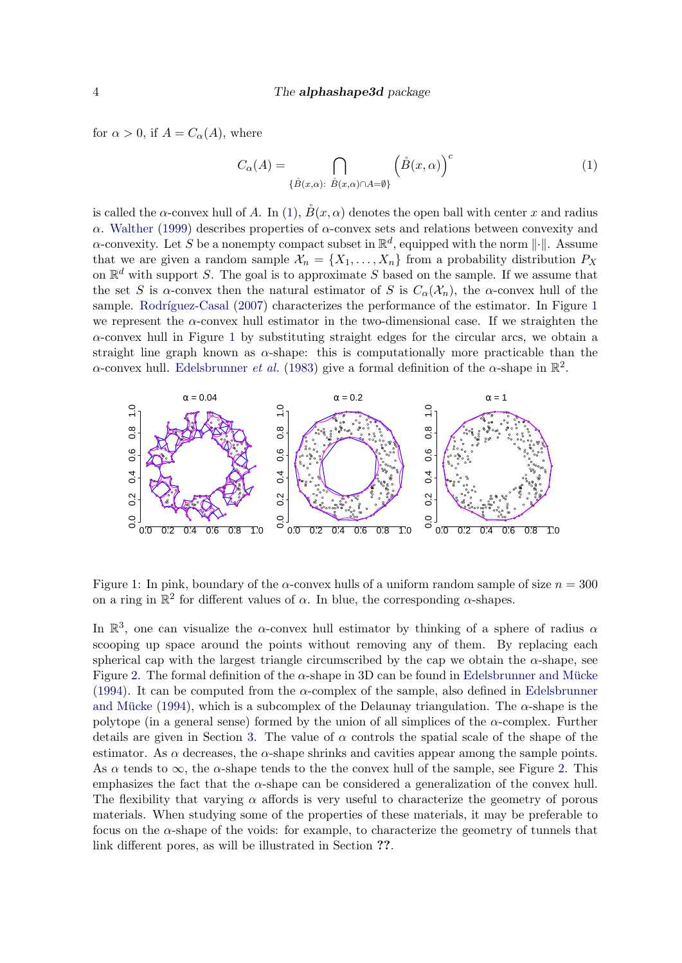for  $\alpha > 0$ , if  $A = C_{\alpha}(A)$ , where

<span id="page-3-0"></span>
$$
C_{\alpha}(A) = \bigcap_{\{\mathring{B}(x,\alpha): \ \mathring{B}(x,\alpha)\cap A=\emptyset\}} \left(\mathring{B}(x,\alpha)\right)^c \tag{1}
$$

is called the  $\alpha$ -convex hull of A. In [\(1\)](#page-3-0),  $\overset{\circ}{B}(x,\alpha)$  denotes the open ball with center x and radius α. [Walther](#page-16-3) [\(1999\)](#page-16-3) describes properties of α-convex sets and relations between convexity and  $\alpha$ -convexity. Let S be a nonempty compact subset in  $\mathbb{R}^d$ , equipped with the norm  $\lVert \cdot \rVert$ . Assume that we are given a random sample  $\mathcal{X}_n = \{X_1, \ldots, X_n\}$  from a probability distribution  $P_X$ on  $\mathbb{R}^d$  with support S. The goal is to approximate S based on the sample. If we assume that the set S is  $\alpha$ -convex then the natural estimator of S is  $C_{\alpha}(\mathcal{X}_n)$ , the  $\alpha$ -convex hull of the sample. Rodríguez-Casal [\(2007\)](#page-16-4) characterizes the performance of the estimator. In Figure [1](#page-3-1) we represent the  $\alpha$ -convex hull estimator in the two-dimensional case. If we straighten the  $\alpha$ -convex hull in Figure [1](#page-3-1) by substituting straight edges for the circular arcs, we obtain a straight line graph known as  $\alpha$ -shape: this is computationally more practicable than the  $\alpha$ -convex hull. [Edelsbrunner](#page-15-5) *et al.* [\(1983\)](#page-15-5) give a formal definition of the  $\alpha$ -shape in  $\mathbb{R}^2$ .



<span id="page-3-1"></span>Figure 1: In pink, boundary of the  $\alpha$ -convex hulls of a uniform random sample of size  $n = 300$ on a ring in  $\mathbb{R}^2$  for different values of  $\alpha$ . In blue, the corresponding  $\alpha$ -shapes.

In  $\mathbb{R}^3$ , one can visualize the  $\alpha$ -convex hull estimator by thinking of a sphere of radius  $\alpha$ scooping up space around the points without removing any of them. By replacing each spherical cap with the largest triangle circumscribed by the cap we obtain the  $\alpha$ -shape, see Figure [2.](#page-4-1) The formal definition of the  $\alpha$ -shape in 3D can be found in Edelsbrunner and Mücke [\(1994\)](#page-15-6). It can be computed from the  $\alpha$ -complex of the sample, also defined in [Edelsbrunner](#page-15-6) and Mücke [\(1994\)](#page-15-6), which is a subcomplex of the Delaunay triangulation. The  $\alpha$ -shape is the polytope (in a general sense) formed by the union of all simplices of the  $\alpha$ -complex. Further details are given in Section [3.](#page-4-0) The value of  $\alpha$  controls the spatial scale of the shape of the estimator. As  $\alpha$  decreases, the  $\alpha$ -shape shrinks and cavities appear among the sample points. As  $\alpha$  tends to  $\infty$ , the  $\alpha$ -shape tends to the the convex hull of the sample, see Figure [2.](#page-4-1) This emphasizes the fact that the  $\alpha$ -shape can be considered a generalization of the convex hull. The flexibility that varying  $\alpha$  affords is very useful to characterize the geometry of porous materials. When studying some of the properties of these materials, it may be preferable to focus on the  $\alpha$ -shape of the voids: for example, to characterize the geometry of tunnels that link different pores, as will be illustrated in Section ??.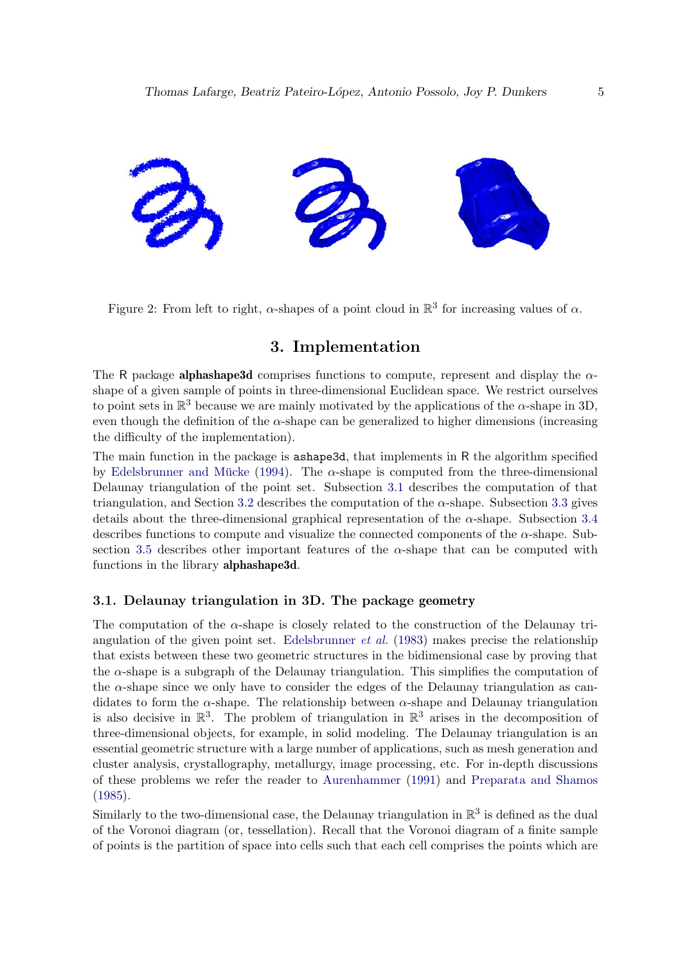

<span id="page-4-1"></span>Figure 2: From left to right,  $\alpha$ -shapes of a point cloud in  $\mathbb{R}^3$  for increasing values of  $\alpha$ .

# 3. Implementation

<span id="page-4-0"></span>The R package **alphashape3d** comprises functions to compute, represent and display the  $\alpha$ shape of a given sample of points in three-dimensional Euclidean space. We restrict ourselves to point sets in  $\mathbb{R}^3$  because we are mainly motivated by the applications of the  $\alpha$ -shape in 3D, even though the definition of the  $\alpha$ -shape can be generalized to higher dimensions (increasing the difficulty of the implementation).

The main function in the package is ashape3d, that implements in R the algorithm specified by Edelsbrunner and Mücke [\(1994\)](#page-15-6). The  $\alpha$ -shape is computed from the three-dimensional Delaunay triangulation of the point set. Subsection [3.1](#page-4-2) describes the computation of that triangulation, and Section [3.2](#page-6-0) describes the computation of the  $\alpha$ -shape. Subsection [3.3](#page-8-0) gives details about the three-dimensional graphical representation of the  $\alpha$ -shape. Subsection [3.4](#page-9-0) describes functions to compute and visualize the connected components of the  $\alpha$ -shape. Sub-section [3.5](#page-10-0) describes other important features of the  $\alpha$ -shape that can be computed with functions in the library alphashape3d.

## <span id="page-4-2"></span>3.1. Delaunay triangulation in 3D. The package geometry

The computation of the  $\alpha$ -shape is closely related to the construction of the Delaunay triangulation of the given point set. [Edelsbrunner](#page-15-5) *et al.* [\(1983\)](#page-15-5) makes precise the relationship that exists between these two geometric structures in the bidimensional case by proving that the  $\alpha$ -shape is a subgraph of the Delaunay triangulation. This simplifies the computation of the  $\alpha$ -shape since we only have to consider the edges of the Delaunay triangulation as candidates to form the  $\alpha$ -shape. The relationship between  $\alpha$ -shape and Delaunay triangulation is also decisive in  $\mathbb{R}^3$ . The problem of triangulation in  $\mathbb{R}^3$  arises in the decomposition of three-dimensional objects, for example, in solid modeling. The Delaunay triangulation is an essential geometric structure with a large number of applications, such as mesh generation and cluster analysis, crystallography, metallurgy, image processing, etc. For in-depth discussions of these problems we refer the reader to [Aurenhammer](#page-14-5) [\(1991\)](#page-14-5) and [Preparata and Shamos](#page-15-13) [\(1985\)](#page-15-13).

Similarly to the two-dimensional case, the Delaunay triangulation in  $\mathbb{R}^3$  is defined as the dual of the Voronoi diagram (or, tessellation). Recall that the Voronoi diagram of a finite sample of points is the partition of space into cells such that each cell comprises the points which are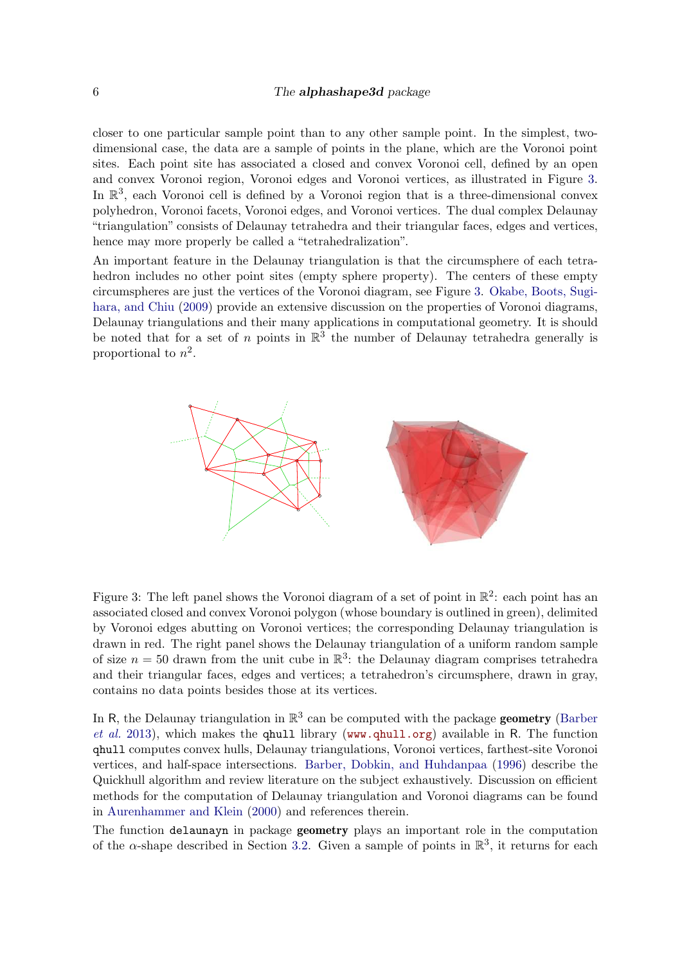#### 6 The **alphashape3d** package

closer to one particular sample point than to any other sample point. In the simplest, twodimensional case, the data are a sample of points in the plane, which are the Voronoi point sites. Each point site has associated a closed and convex Voronoi cell, defined by an open and convex Voronoi region, Voronoi edges and Voronoi vertices, as illustrated in Figure [3.](#page-5-0) In  $\mathbb{R}^3$ , each Voronoi cell is defined by a Voronoi region that is a three-dimensional convex polyhedron, Voronoi facets, Voronoi edges, and Voronoi vertices. The dual complex Delaunay "triangulation" consists of Delaunay tetrahedra and their triangular faces, edges and vertices, hence may more properly be called a "tetrahedralization".

An important feature in the Delaunay triangulation is that the circumsphere of each tetrahedron includes no other point sites (empty sphere property). The centers of these empty circumspheres are just the vertices of the Voronoi diagram, see Figure [3.](#page-5-0) [Okabe, Boots, Sugi](#page-15-14)[hara, and Chiu](#page-15-14) [\(2009\)](#page-15-14) provide an extensive discussion on the properties of Voronoi diagrams, Delaunay triangulations and their many applications in computational geometry. It is should be noted that for a set of n points in  $\mathbb{R}^3$  the number of Delaunay tetrahedra generally is proportional to  $n^2$ .



<span id="page-5-0"></span>Figure 3: The left panel shows the Voronoi diagram of a set of point in  $\mathbb{R}^2$ : each point has an associated closed and convex Voronoi polygon (whose boundary is outlined in green), delimited by Voronoi edges abutting on Voronoi vertices; the corresponding Delaunay triangulation is drawn in red. The right panel shows the Delaunay triangulation of a uniform random sample of size  $n = 50$  drawn from the unit cube in  $\mathbb{R}^3$ : the Delaunay diagram comprises tetrahedra and their triangular faces, edges and vertices; a tetrahedron's circumsphere, drawn in gray, contains no data points besides those at its vertices.

In R, the Delaunay triangulation in  $\mathbb{R}^3$  can be computed with the package **geometry** [\(Barber](#page-14-4) *[et al.](#page-14-4)* [2013\)](#page-14-4), which makes the qhull library (<www.qhull.org>) available in R. The function qhull computes convex hulls, Delaunay triangulations, Voronoi vertices, farthest-site Voronoi vertices, and half-space intersections. [Barber, Dobkin, and Huhdanpaa](#page-14-6) [\(1996\)](#page-14-6) describe the Quickhull algorithm and review literature on the subject exhaustively. Discussion on efficient methods for the computation of Delaunay triangulation and Voronoi diagrams can be found in [Aurenhammer and Klein](#page-14-7) [\(2000\)](#page-14-7) and references therein.

The function delaunayn in package geometry plays an important role in the computation of the  $\alpha$ -shape described in Section [3.2.](#page-6-0) Given a sample of points in  $\mathbb{R}^3$ , it returns for each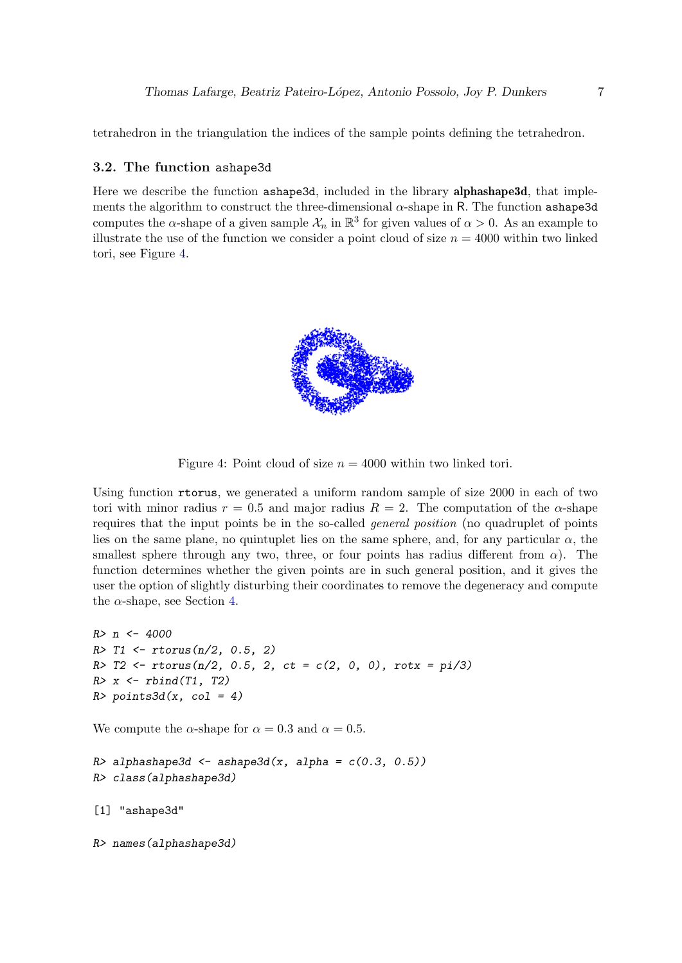tetrahedron in the triangulation the indices of the sample points defining the tetrahedron.

## <span id="page-6-0"></span>3.2. The function ashape3d

Here we describe the function ashape3d, included in the library **alphashape3d**, that implements the algorithm to construct the three-dimensional  $\alpha$ -shape in R. The function ashape3d computes the  $\alpha$ -shape of a given sample  $\mathcal{X}_n$  in  $\mathbb{R}^3$  for given values of  $\alpha > 0$ . As an example to illustrate the use of the function we consider a point cloud of size  $n = 4000$  within two linked tori, see Figure [4.](#page-6-1)

<span id="page-6-1"></span>

Figure 4: Point cloud of size  $n = 4000$  within two linked tori.

Using function rtorus, we generated a uniform random sample of size 2000 in each of two tori with minor radius  $r = 0.5$  and major radius  $R = 2$ . The computation of the  $\alpha$ -shape requires that the input points be in the so-called *general position* (no quadruplet of points lies on the same plane, no quintuplet lies on the same sphere, and, for any particular  $\alpha$ , the smallest sphere through any two, three, or four points has radius different from  $\alpha$ ). The function determines whether the given points are in such general position, and it gives the user the option of slightly disturbing their coordinates to remove the degeneracy and compute the  $\alpha$ -shape, see Section [4.](#page-13-0)

```
R> n <- 4000
R > T1 <- rtorus(n/2, 0.5, 2)
R > T2 <- rtorus(n/2, 0.5, 2, ct = c(2, 0, 0), rotx = pi/3)
R > x \leftarrow rbind(T1, T2)R> points3d(x, col = 4)
```
We compute the  $\alpha$ -shape for  $\alpha = 0.3$  and  $\alpha = 0.5$ .

```
R> alphashape3d <- ashape3d(x, alpha = c(0.3, 0.5))
R> class(alphashape3d)
```

```
[1] "ashape3d"
```
R> names(alphashape3d)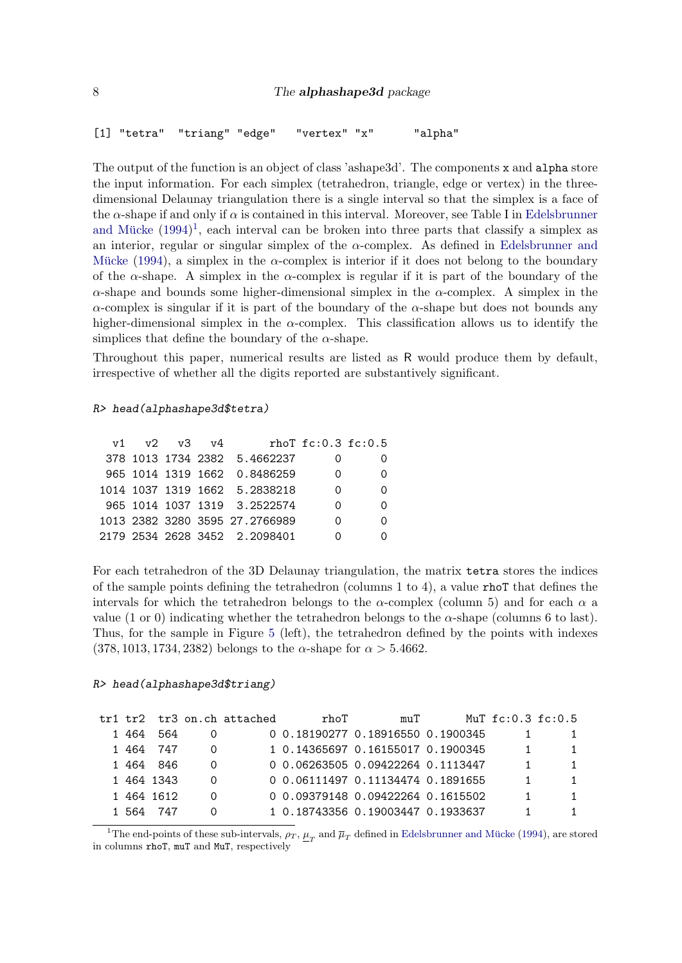```
[1] "tetra" "triang" "edge" "vertex" "x" "alpha"
```
The output of the function is an object of class 'ashape3d'. The components x and alpha store the input information. For each simplex (tetrahedron, triangle, edge or vertex) in the threedimensional Delaunay triangulation there is a single interval so that the simplex is a face of the  $\alpha$ -shape if and only if  $\alpha$  is contained in this interval. Moreover, see Table I in [Edelsbrunner](#page-15-6) and Mücke  $(1994)^1$  $(1994)^1$  $(1994)^1$ , each interval can be broken into three parts that classify a simplex as an interior, regular or singular simplex of the  $\alpha$ -complex. As defined in [Edelsbrunner and](#page-15-6) Mücke [\(1994\)](#page-15-6), a simplex in the  $\alpha$ -complex is interior if it does not belong to the boundary of the  $\alpha$ -shape. A simplex in the  $\alpha$ -complex is regular if it is part of the boundary of the  $\alpha$ -shape and bounds some higher-dimensional simplex in the  $\alpha$ -complex. A simplex in the  $\alpha$ -complex is singular if it is part of the boundary of the  $\alpha$ -shape but does not bounds any higher-dimensional simplex in the  $\alpha$ -complex. This classification allows us to identify the simplices that define the boundary of the  $\alpha$ -shape.

Throughout this paper, numerical results are listed as R would produce them by default, irrespective of whether all the digits reported are substantively significant.

### R> head(alphashape3d\$tetra)

|  |             | 0                                                                                                                                                                                                  |                         |
|--|-------------|----------------------------------------------------------------------------------------------------------------------------------------------------------------------------------------------------|-------------------------|
|  |             | 0                                                                                                                                                                                                  |                         |
|  |             | 0                                                                                                                                                                                                  |                         |
|  |             | $\left( \right)$                                                                                                                                                                                   |                         |
|  |             |                                                                                                                                                                                                    |                         |
|  | v1 v2 v3 v4 | 378 1013 1734 2382 5.4662237<br>965 1014 1319 1662 0.8486259<br>1014 1037 1319 1662 5.2838218<br>965 1014 1037 1319 3.2522574<br>1013 2382 3280 3595 27.2766989<br>2179 2534 2628 3452 - 2.2098401 | rho $T$ fc: 0.3 fc: 0.5 |

For each tetrahedron of the 3D Delaunay triangulation, the matrix tetra stores the indices of the sample points defining the tetrahedron (columns 1 to 4), a value rhoT that defines the intervals for which the tetrahedron belongs to the  $\alpha$ -complex (column 5) and for each  $\alpha$  a value (1 or 0) indicating whether the tetrahedron belongs to the  $\alpha$ -shape (columns 6 to last). Thus, for the sample in Figure [5](#page-9-1) (left), the tetrahedron defined by the points with indexes (378, 1013, 1734, 2382) belongs to the  $\alpha$ -shape for  $\alpha > 5.4662$ .

## R> head(alphashape3d\$triang)

|      |            | tr1 tr2 tr3 on.ch attached | rhoT | muT                               | $MuT$ fc: 0.3 fc: 0.5 |  |
|------|------------|----------------------------|------|-----------------------------------|-----------------------|--|
| 1464 | 564        |                            |      | 0 0.18190277 0.18916550 0.1900345 |                       |  |
|      | 1 464 747  |                            |      | 1 0.14365697 0.16155017 0.1900345 |                       |  |
|      | 1 464 846  |                            |      | 0 0.06263505 0.09422264 0.1113447 |                       |  |
|      | 1 464 1343 |                            |      | 0 0.06111497 0.11134474 0.1891655 |                       |  |
|      | 1 464 1612 |                            |      | 0 0.09379148 0.09422264 0.1615502 |                       |  |
| 1564 | 747        |                            |      | 1 0.18743356 0.19003447 0.1933637 |                       |  |

<span id="page-7-0"></span><sup>1</sup>The end-points of these sub-intervals,  $\rho_T$ ,  $\underline{\mu}_T$  and  $\overline{\mu}_T$  defined in Edelsbrunner and Mücke [\(1994\)](#page-15-6), are stored in columns rhoT, muT and MuT, respectively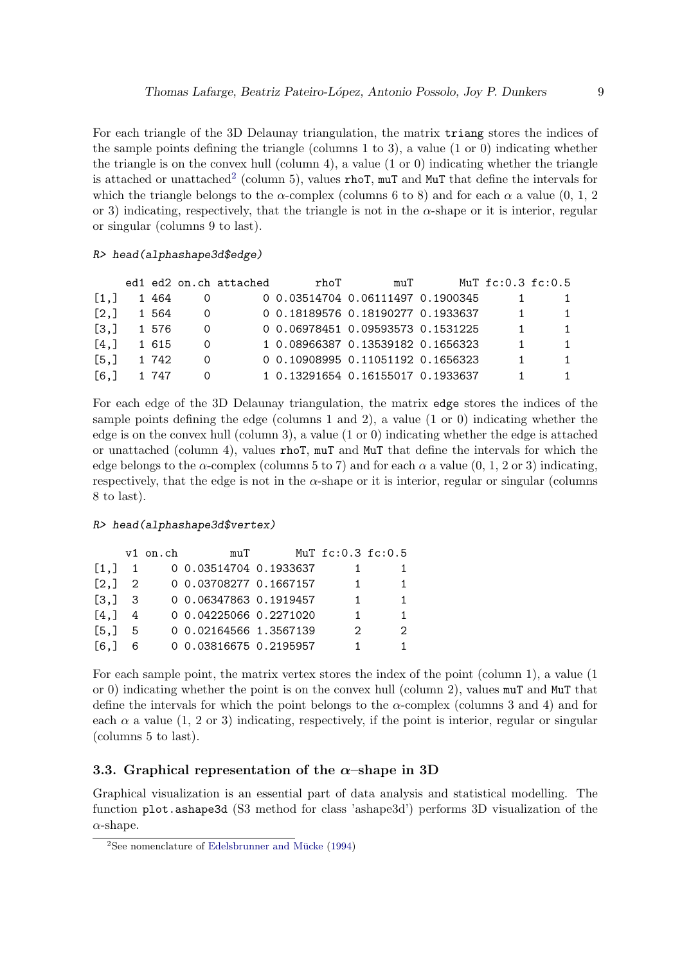For each triangle of the 3D Delaunay triangulation, the matrix triang stores the indices of the sample points defining the triangle (columns 1 to 3), a value (1 or 0) indicating whether the triangle is on the convex hull (column 4), a value  $(1 \text{ or } 0)$  indicating whether the triangle is attached or unattached<sup>[2](#page-8-1)</sup> (column 5), values  $\texttt{rhoT}$ ,  $\texttt{muT}$  and  $\texttt{MuT}$  that define the intervals for which the triangle belongs to the  $\alpha$ -complex (columns 6 to 8) and for each  $\alpha$  a value (0, 1, 2) or 3) indicating, respectively, that the triangle is not in the  $\alpha$ -shape or it is interior, regular or singular (columns 9 to last).

#### R> head(alphashape3d\$edge)

|                         |       | ed1 ed2 on.ch attached | rhoT | muT                               | MuT $fc:0.3$ $fc:0.5$ |  |
|-------------------------|-------|------------------------|------|-----------------------------------|-----------------------|--|
| $\lceil 1 \cdot \rceil$ | 1464  |                        |      | 0 0.03514704 0.06111497 0.1900345 |                       |  |
| [2,]                    | 1 564 |                        |      | 0 0.18189576 0.18190277 0.1933637 |                       |  |
| $\lceil 3.1 \rceil$     | 1 576 |                        |      | 0 0.06978451 0.09593573 0.1531225 |                       |  |
| $\lceil 4.1 \rceil$     | 1 615 |                        |      | 1 0.08966387 0.13539182 0.1656323 |                       |  |
| $\lceil 5.1 \rceil$     | 1 742 |                        |      | 0 0.10908995 0.11051192 0.1656323 |                       |  |
| [6.1]                   | 747   |                        |      | 1 0.13291654 0.16155017 0.1933637 |                       |  |

For each edge of the 3D Delaunay triangulation, the matrix edge stores the indices of the sample points defining the edge (columns 1 and 2), a value (1 or 0) indicating whether the edge is on the convex hull (column 3), a value (1 or 0) indicating whether the edge is attached or unattached (column 4), values rhoT, muT and MuT that define the intervals for which the edge belongs to the  $\alpha$ -complex (columns 5 to 7) and for each  $\alpha$  a value (0, 1, 2 or 3) indicating, respectively, that the edge is not in the  $\alpha$ -shape or it is interior, regular or singular (columns 8 to last).

#### R> head(alphashape3d\$vertex)

|                                          |   | $v1$ on.ch | $m_{11}T$              | MuT fc:0.3 fc:0.5 |    |
|------------------------------------------|---|------------|------------------------|-------------------|----|
| [1,]                                     |   |            | 0 0.03514704 0.1933637 |                   |    |
| [2,] 2                                   |   |            | 0 0.03708277 0.1667157 |                   |    |
| $\begin{bmatrix} 3 \\ 1 \end{bmatrix}$ 3 |   |            | 0 0.06347863 0.1919457 |                   |    |
| [4,]                                     | 4 |            | 0 0.04225066 0.2271020 |                   | 1. |
| [5.1]                                    | 5 |            | 0 0.02164566 1.3567139 | 2                 | 2  |
| F6.1                                     | 6 |            | 0 0.03816675 0.2195957 |                   |    |

For each sample point, the matrix vertex stores the index of the point (column 1), a value (1 or 0) indicating whether the point is on the convex hull (column 2), values muT and MuT that define the intervals for which the point belongs to the  $\alpha$ -complex (columns 3 and 4) and for each  $\alpha$  a value (1, 2 or 3) indicating, respectively, if the point is interior, regular or singular (columns 5 to last).

## <span id="page-8-0"></span>3.3. Graphical representation of the  $\alpha$ -shape in 3D

Graphical visualization is an essential part of data analysis and statistical modelling. The function plot.ashape3d (S3 method for class 'ashape3d') performs 3D visualization of the  $\alpha$ -shape.

<span id="page-8-1"></span> $2$ See nomenclature of Edelsbrunner and Mücke  $(1994)$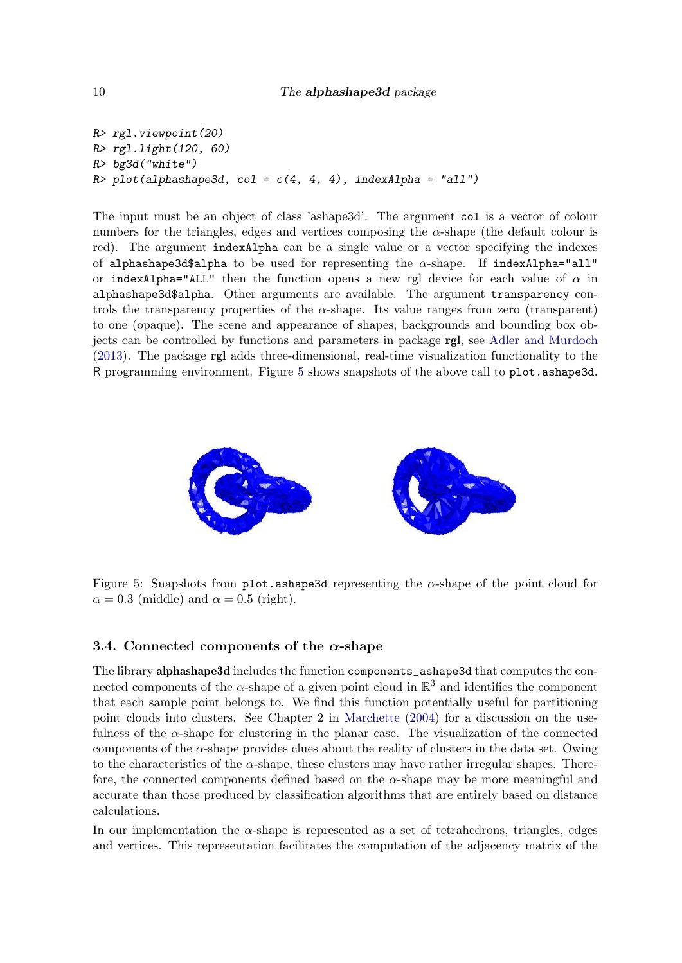R> rgl.viewpoint(20) R> rgl.light(120, 60) R> bg3d("white")  $R$ > plot(alphashape3d, col = c(4, 4, 4), indexAlpha = "all")

The input must be an object of class 'ashape3d'. The argument col is a vector of colour numbers for the triangles, edges and vertices composing the  $\alpha$ -shape (the default colour is red). The argument indexAlpha can be a single value or a vector specifying the indexes of alphashape3d\$alpha to be used for representing the  $\alpha$ -shape. If indexAlpha="all" or indexAlpha="ALL" then the function opens a new rgl device for each value of  $\alpha$  in alphashape3d\$alpha. Other arguments are available. The argument transparency controls the transparency properties of the  $\alpha$ -shape. Its value ranges from zero (transparent) to one (opaque). The scene and appearance of shapes, backgrounds and bounding box objects can be controlled by functions and parameters in package rgl, see [Adler and Murdoch](#page-14-8) [\(2013\)](#page-14-8). The package rgl adds three-dimensional, real-time visualization functionality to the R programming environment. Figure [5](#page-9-1) shows snapshots of the above call to plot.ashape3d.



<span id="page-9-1"></span>Figure 5: Snapshots from plot.ashape3d representing the  $\alpha$ -shape of the point cloud for  $\alpha = 0.3$  (middle) and  $\alpha = 0.5$  (right).

# <span id="page-9-0"></span>3.4. Connected components of the  $\alpha$ -shape

The library alphashape3d includes the function components\_ashape3d that computes the connected components of the  $\alpha$ -shape of a given point cloud in  $\mathbb{R}^3$  and identifies the component that each sample point belongs to. We find this function potentially useful for partitioning point clouds into clusters. See Chapter 2 in [Marchette](#page-15-15) [\(2004\)](#page-15-15) for a discussion on the usefulness of the  $\alpha$ -shape for clustering in the planar case. The visualization of the connected components of the  $\alpha$ -shape provides clues about the reality of clusters in the data set. Owing to the characteristics of the  $\alpha$ -shape, these clusters may have rather irregular shapes. Therefore, the connected components defined based on the  $\alpha$ -shape may be more meaningful and accurate than those produced by classification algorithms that are entirely based on distance calculations.

In our implementation the  $\alpha$ -shape is represented as a set of tetrahedrons, triangles, edges and vertices. This representation facilitates the computation of the adjacency matrix of the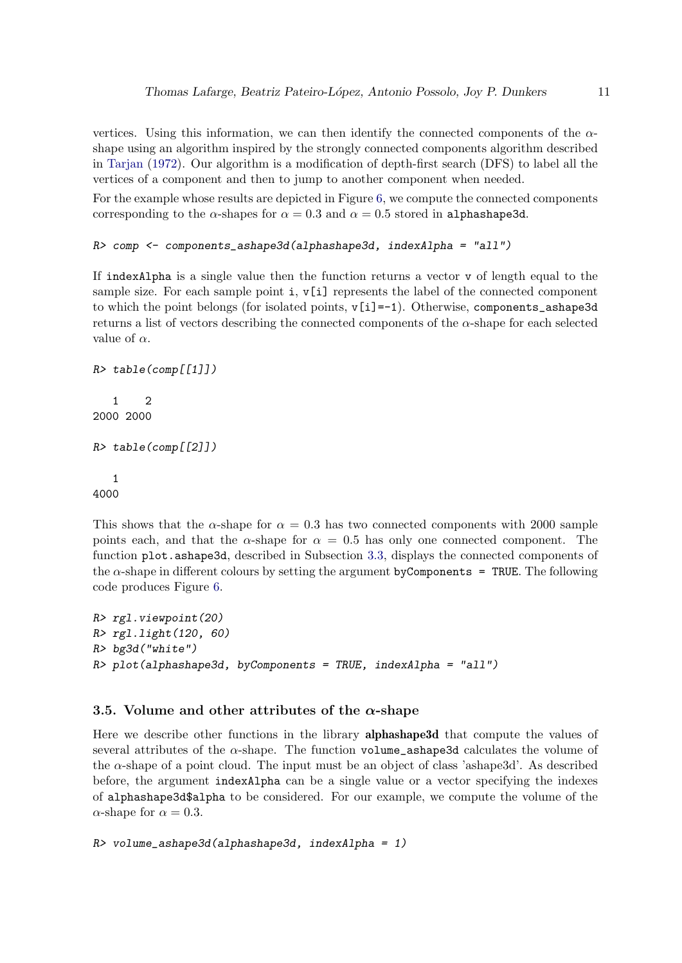vertices. Using this information, we can then identify the connected components of the  $\alpha$ shape using an algorithm inspired by the strongly connected components algorithm described in [Tarjan](#page-16-8) [\(1972\)](#page-16-8). Our algorithm is a modification of depth-first search (DFS) to label all the vertices of a component and then to jump to another component when needed.

For the example whose results are depicted in Figure [6,](#page-11-0) we compute the connected components corresponding to the  $\alpha$ -shapes for  $\alpha = 0.3$  and  $\alpha = 0.5$  stored in alphashape3d.

```
R> comp <- components_ashape3d(alphashape3d, indexAlpha = "all")
```
If indexAlpha is a single value then the function returns a vector v of length equal to the sample size. For each sample point  $i, v[i]$  represents the label of the connected component to which the point belongs (for isolated points,  $\nu[i]=-1$ ). Otherwise, components ashape3d returns a list of vectors describing the connected components of the  $\alpha$ -shape for each selected value of  $\alpha$ .

```
R> table(comp[[1]])
   1 2
2000 2000
R> table(comp[[2]])
   1
```
4000

This shows that the  $\alpha$ -shape for  $\alpha = 0.3$  has two connected components with 2000 sample points each, and that the  $\alpha$ -shape for  $\alpha = 0.5$  has only one connected component. The function plot.ashape3d, described in Subsection [3.3,](#page-8-0) displays the connected components of the  $\alpha$ -shape in different colours by setting the argument byComponents = TRUE. The following code produces Figure [6.](#page-11-0)

```
R> rgl.viewpoint(20)
R> rgl.light(120, 60)
R> bg3d("white")
R> plot(alphashape3d, byComponents = TRUE, indexAlpha = "all")
```
# <span id="page-10-0"></span>3.5. Volume and other attributes of the  $\alpha$ -shape

Here we describe other functions in the library alphashape3d that compute the values of several attributes of the  $\alpha$ -shape. The function volume\_ashape3d calculates the volume of the  $\alpha$ -shape of a point cloud. The input must be an object of class 'ashape3d'. As described before, the argument indexAlpha can be a single value or a vector specifying the indexes of alphashape3d\$alpha to be considered. For our example, we compute the volume of the  $\alpha$ -shape for  $\alpha = 0.3$ .

```
R> volume_ashape3d(alphashape3d, indexAlpha = 1)
```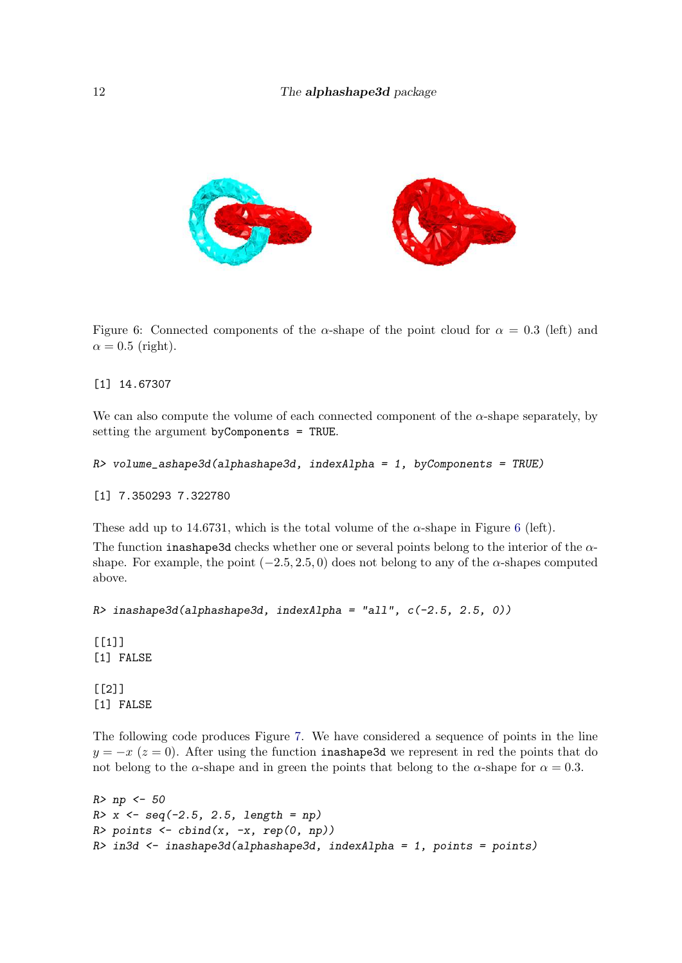

<span id="page-11-0"></span>Figure 6: Connected components of the  $\alpha$ -shape of the point cloud for  $\alpha = 0.3$  (left) and  $\alpha = 0.5$  (right).

[1] 14.67307

We can also compute the volume of each connected component of the  $\alpha$ -shape separately, by setting the argument byComponents = TRUE.

```
R> volume_ashape3d(alphashape3d, indexAlpha = 1, byComponents = TRUE)
```
[1] 7.350293 7.322780

These add up to 14.[6](#page-11-0)731, which is the total volume of the  $\alpha$ -shape in Figure 6 (left).

The function inashape3d checks whether one or several points belong to the interior of the  $\alpha$ shape. For example, the point  $(-2.5, 2.5, 0)$  does not belong to any of the  $\alpha$ -shapes computed above.

```
R> inashape3d(alphashape3d, indexAlpha = "all", c(-2.5, 2.5, 0))
```
 $[1]$ [1] FALSE

[[2]] [1] FALSE

The following code produces Figure [7.](#page-12-0) We have considered a sequence of points in the line  $y = -x$  ( $z = 0$ ). After using the function inashape3d we represent in red the points that do not belong to the  $\alpha$ -shape and in green the points that belong to the  $\alpha$ -shape for  $\alpha = 0.3$ .

```
R> np <- 50
R > x < -seq(-2.5, 2.5, length = np)R> points \leftarrow cbind(x, -x, rep(0, np))
R> in3d <- inashape3d(alphashape3d, indexAlpha = 1, points = points)
```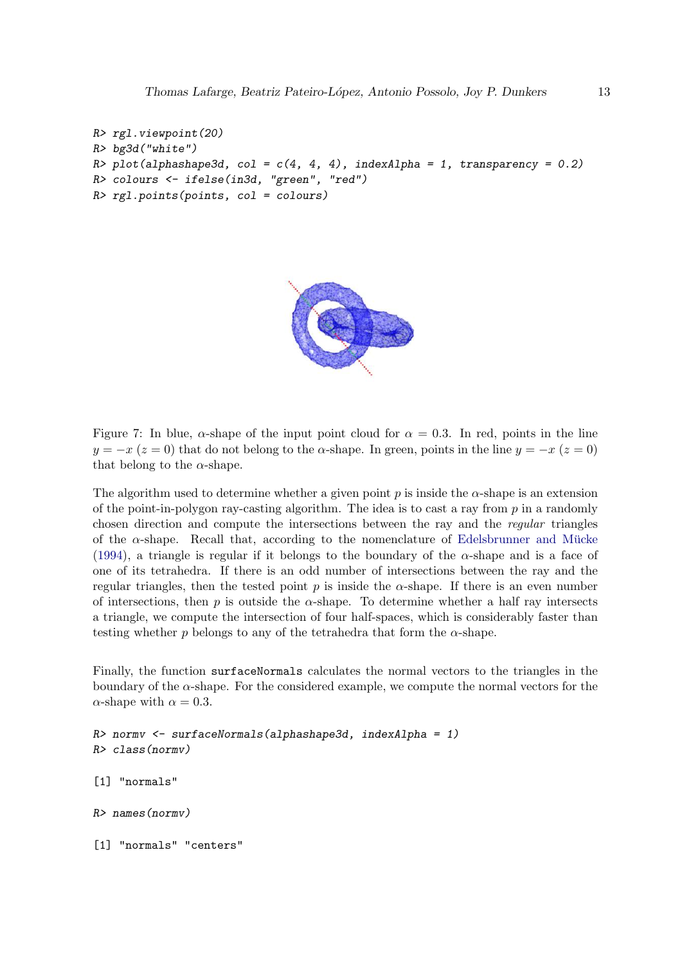```
R> rgl.viewpoint(20)
R> bg3d("white")
R> plot(alphashape3d, col = c(4, 4, 4), indexAlpha = 1, transparency = 0.2)
R> colours <- ifelse(in3d, "green", "red")
R> rgl.points(points, col = colours)
```


<span id="page-12-0"></span>Figure 7: In blue,  $\alpha$ -shape of the input point cloud for  $\alpha = 0.3$ . In red, points in the line  $y = -x (z = 0)$  that do not belong to the  $\alpha$ -shape. In green, points in the line  $y = -x (z = 0)$ that belong to the  $\alpha$ -shape.

The algorithm used to determine whether a given point  $p$  is inside the  $\alpha$ -shape is an extension of the point-in-polygon ray-casting algorithm. The idea is to cast a ray from  $p$  in a randomly chosen direction and compute the intersections between the ray and the *regular* triangles of the  $\alpha$ -shape. Recall that, according to the nomenclature of Edelsbrunner and Mücke [\(1994\)](#page-15-6), a triangle is regular if it belongs to the boundary of the  $\alpha$ -shape and is a face of one of its tetrahedra. If there is an odd number of intersections between the ray and the regular triangles, then the tested point p is inside the  $\alpha$ -shape. If there is an even number of intersections, then p is outside the  $\alpha$ -shape. To determine whether a half ray intersects a triangle, we compute the intersection of four half-spaces, which is considerably faster than testing whether p belongs to any of the tetrahedra that form the  $\alpha$ -shape.

Finally, the function surfaceNormals calculates the normal vectors to the triangles in the boundary of the  $\alpha$ -shape. For the considered example, we compute the normal vectors for the  $\alpha$ -shape with  $\alpha = 0.3$ .

```
R> normv <- surfaceNormals(alphashape3d, indexAlpha = 1)
R> class(normv)
[1] "normals"
R> names(normv)
[1] "normals" "centers"
```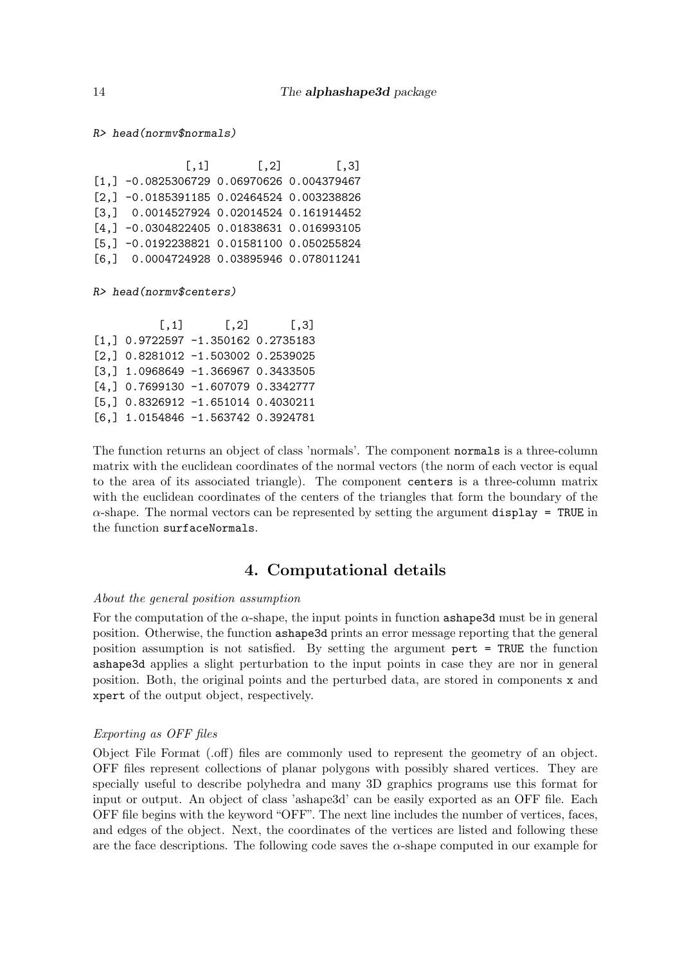R> head(normv\$normals)

 $[$ ,1]  $[$ ,2]  $[$ ,3] [1,] -0.0825306729 0.06970626 0.004379467 [2,] -0.0185391185 0.02464524 0.003238826 [3,] 0.0014527924 0.02014524 0.161914452 [4,] -0.0304822405 0.01838631 0.016993105 [5,] -0.0192238821 0.01581100 0.050255824 [6,] 0.0004724928 0.03895946 0.078011241

R> head(normv\$centers)

 $[0,1]$   $[0,2]$   $[0,3]$ [1,] 0.9722597 -1.350162 0.2735183 [2,] 0.8281012 -1.503002 0.2539025 [3,] 1.0968649 -1.366967 0.3433505 [4,] 0.7699130 -1.607079 0.3342777 [5,] 0.8326912 -1.651014 0.4030211 [6,] 1.0154846 -1.563742 0.3924781

The function returns an object of class 'normals'. The component normals is a three-column matrix with the euclidean coordinates of the normal vectors (the norm of each vector is equal to the area of its associated triangle). The component centers is a three-column matrix with the euclidean coordinates of the centers of the triangles that form the boundary of the  $\alpha$ -shape. The normal vectors can be represented by setting the argument display = TRUE in the function surfaceNormals.

# 4. Computational details

#### <span id="page-13-0"></span>*About the general position assumption*

For the computation of the  $\alpha$ -shape, the input points in function ashape3d must be in general position. Otherwise, the function ashape3d prints an error message reporting that the general position assumption is not satisfied. By setting the argument pert = TRUE the function ashape3d applies a slight perturbation to the input points in case they are nor in general position. Both, the original points and the perturbed data, are stored in components x and xpert of the output object, respectively.

### *Exporting as OFF files*

Object File Format (.off) files are commonly used to represent the geometry of an object. OFF files represent collections of planar polygons with possibly shared vertices. They are specially useful to describe polyhedra and many 3D graphics programs use this format for input or output. An object of class 'ashape3d' can be easily exported as an OFF file. Each OFF file begins with the keyword "OFF". The next line includes the number of vertices, faces, and edges of the object. Next, the coordinates of the vertices are listed and following these are the face descriptions. The following code saves the  $\alpha$ -shape computed in our example for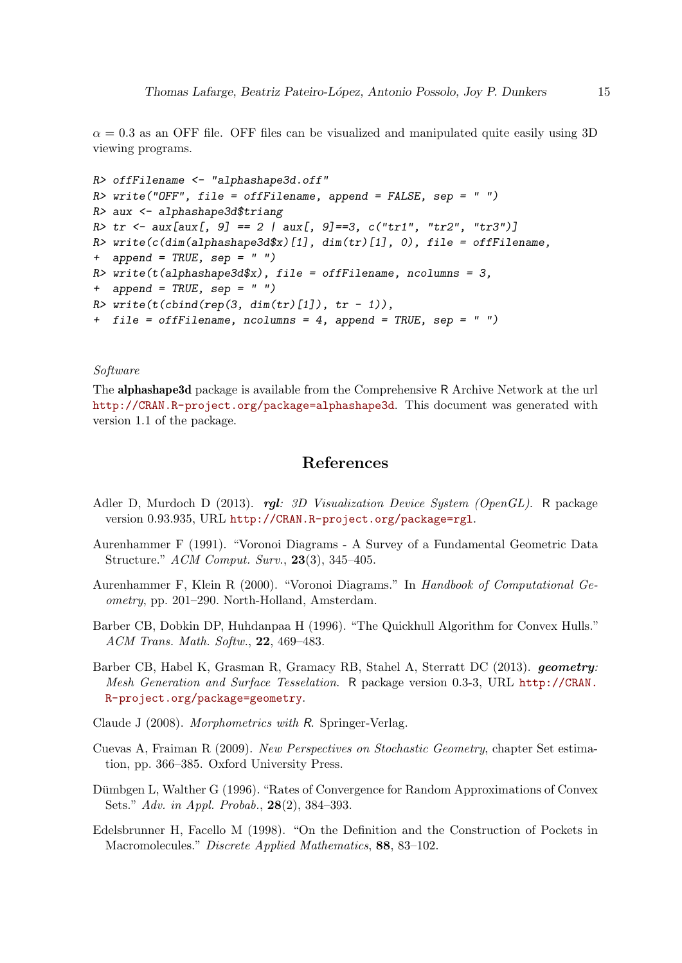$\alpha = 0.3$  as an OFF file. OFF files can be visualized and manipulated quite easily using 3D viewing programs.

```
R> offFilename <- "alphashape3d.off"
R> write("OFF", file = offFilename, append = FALSE, sep = " ")
R> aux <- alphashape3d$triang
R> tr <- aux[aux[, 9] == 2 | aux[, 9] == 3, c("tr1", "tr2", "tr3")]
R> write(c(dim(alphashape3d$x)[1], dim(tr)[1], 0), file = offFilename,
+ append = TRUE, sep = " ")
R> write(t(alphashape3d$x), file = offFilename, ncolumns = 3,
+ append = TRUE, sep = "")
R> write(t(cbind(rep(3, dim(tr)[1]), tr - 1)),
+ file = offFilename, ncolumns = 4, append = TRUE, sep = " ")
```
# *Software*

The alphashape3d package is available from the Comprehensive R Archive Network at the url <http://CRAN.R-project.org/package=alphashape3d>. This document was generated with version 1.1 of the package.

# References

- <span id="page-14-8"></span>Adler D, Murdoch D (2013). rgl*: 3D Visualization Device System (OpenGL)*. R package version 0.93.935, URL <http://CRAN.R-project.org/package=rgl>.
- <span id="page-14-5"></span>Aurenhammer F (1991). "Voronoi Diagrams - A Survey of a Fundamental Geometric Data Structure." *ACM Comput. Surv.*, 23(3), 345–405.
- <span id="page-14-7"></span>Aurenhammer F, Klein R (2000). "Voronoi Diagrams." In *Handbook of Computational Geometry*, pp. 201–290. North-Holland, Amsterdam.
- <span id="page-14-6"></span>Barber CB, Dobkin DP, Huhdanpaa H (1996). "The Quickhull Algorithm for Convex Hulls." *ACM Trans. Math. Softw.*, 22, 469–483.
- <span id="page-14-4"></span>Barber CB, Habel K, Grasman R, Gramacy RB, Stahel A, Sterratt DC (2013). geometry*: Mesh Generation and Surface Tesselation*. R package version 0.3-3, URL [http://CRAN.](http://CRAN.R-project.org/package=geometry) [R-project.org/package=geometry](http://CRAN.R-project.org/package=geometry).
- <span id="page-14-0"></span>Claude J (2008). *Morphometrics with* R. Springer-Verlag.
- <span id="page-14-1"></span>Cuevas A, Fraiman R (2009). *New Perspectives on Stochastic Geometry*, chapter Set estimation, pp. 366–385. Oxford University Press.
- <span id="page-14-2"></span>Dümbgen L, Walther G (1996). "Rates of Convergence for Random Approximations of Convex Sets." *Adv. in Appl. Probab.*, 28(2), 384–393.
- <span id="page-14-3"></span>Edelsbrunner H, Facello M (1998). "On the Definition and the Construction of Pockets in Macromolecules." *Discrete Applied Mathematics*, 88, 83–102.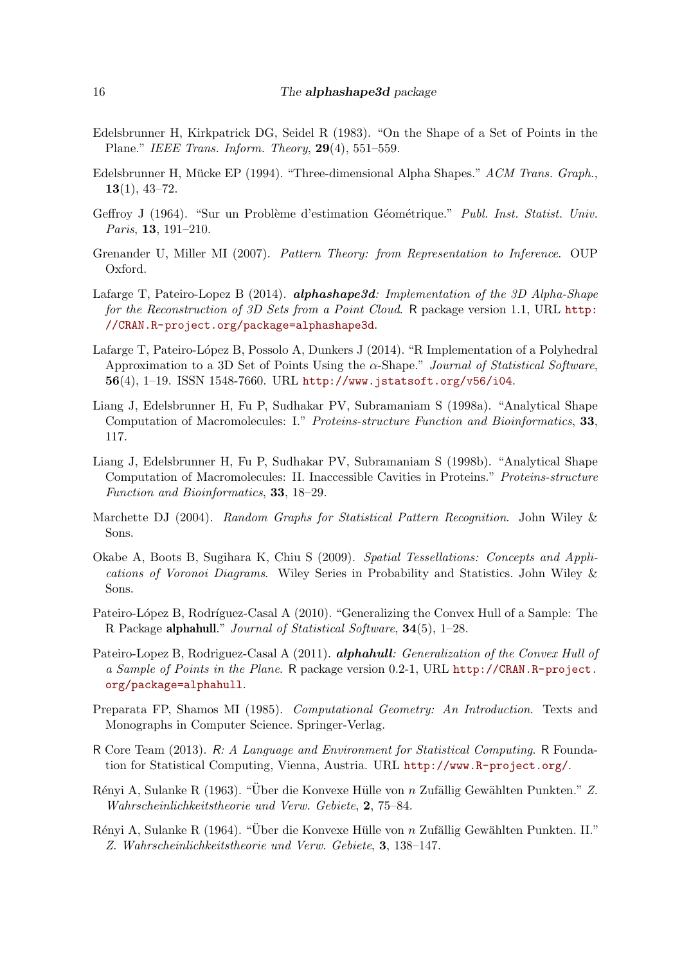- <span id="page-15-5"></span>Edelsbrunner H, Kirkpatrick DG, Seidel R (1983). "On the Shape of a Set of Points in the Plane." *IEEE Trans. Inform. Theory*, 29(4), 551–559.
- <span id="page-15-6"></span>Edelsbrunner H, Mücke EP (1994). "Three-dimensional Alpha Shapes." *ACM Trans. Graph.*,  $13(1), 43-72.$
- <span id="page-15-2"></span>Geffroy J (1964). "Sur un Problème d'estimation Géométrique." *Publ. Inst. Statist. Univ. Paris*, 13, 191–210.
- <span id="page-15-1"></span>Grenander U, Miller MI (2007). *Pattern Theory: from Representation to Inference*. OUP Oxford.
- <span id="page-15-12"></span>Lafarge T, Pateiro-Lopez B (2014). alphashape3d*: Implementation of the 3D Alpha-Shape for the Reconstruction of 3D Sets from a Point Cloud*. R package version 1.1, URL [http:](http://CRAN.R-project.org/package=alphashape3d) [//CRAN.R-project.org/package=alphashape3d](http://CRAN.R-project.org/package=alphashape3d).
- <span id="page-15-0"></span>Lafarge T, Pateiro-López B, Possolo A, Dunkers J (2014). "R Implementation of a Polyhedral Approximation to a 3D Set of Points Using the α-Shape." *Journal of Statistical Software*, 56(4), 1–19. ISSN 1548-7660. URL <http://www.jstatsoft.org/v56/i04>.
- <span id="page-15-7"></span>Liang J, Edelsbrunner H, Fu P, Sudhakar PV, Subramaniam S (1998a). "Analytical Shape Computation of Macromolecules: I." *Proteins-structure Function and Bioinformatics*, 33, 117.
- <span id="page-15-8"></span>Liang J, Edelsbrunner H, Fu P, Sudhakar PV, Subramaniam S (1998b). "Analytical Shape Computation of Macromolecules: II. Inaccessible Cavities in Proteins." *Proteins-structure Function and Bioinformatics*, 33, 18–29.
- <span id="page-15-15"></span>Marchette DJ (2004). *Random Graphs for Statistical Pattern Recognition*. John Wiley & Sons.
- <span id="page-15-14"></span>Okabe A, Boots B, Sugihara K, Chiu S (2009). *Spatial Tessellations: Concepts and Applications of Voronoi Diagrams*. Wiley Series in Probability and Statistics. John Wiley & Sons.
- <span id="page-15-11"></span>Pateiro-López B, Rodríguez-Casal A (2010). "Generalizing the Convex Hull of a Sample: The R Package alphahull." *Journal of Statistical Software*, 34(5), 1–28.
- <span id="page-15-10"></span>Pateiro-Lopez B, Rodriguez-Casal A (2011). alphahull*: Generalization of the Convex Hull of a Sample of Points in the Plane*. R package version 0.2-1, URL [http://CRAN.R-project.](http://CRAN.R-project.org/package=alphahull) [org/package=alphahull](http://CRAN.R-project.org/package=alphahull).
- <span id="page-15-13"></span>Preparata FP, Shamos MI (1985). *Computational Geometry: An Introduction*. Texts and Monographs in Computer Science. Springer-Verlag.
- <span id="page-15-9"></span>R Core Team (2013). R*: A Language and Environment for Statistical Computing*. R Foundation for Statistical Computing, Vienna, Austria. URL <http://www.R-project.org/>.
- <span id="page-15-3"></span>Rényi A, Sulanke R (1963). "Über die Konvexe Hülle von n Zufällig Gewählten Punkten." Z. *Wahrscheinlichkeitstheorie und Verw. Gebiete*, 2, 75–84.
- <span id="page-15-4"></span>Rényi A, Sulanke R (1964). "Über die Konvexe Hülle von n Zufällig Gewählten Punkten. II." *Z. Wahrscheinlichkeitstheorie und Verw. Gebiete*, 3, 138–147.